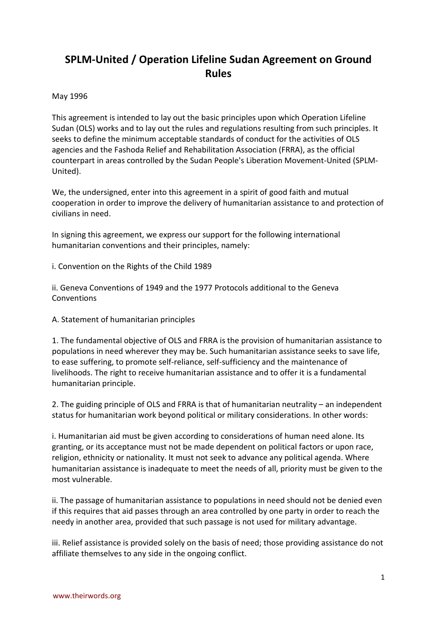## **SPLM-United / Operation Lifeline Sudan Agreement on Ground Rules**

## May 1996

This agreement is intended to lay out the basic principles upon which Operation Lifeline Sudan (OLS) works and to lay out the rules and regulations resulting from such principles. It seeks to define the minimum acceptable standards of conduct for the activities of OLS agencies and the Fashoda Relief and Rehabilitation Association (FRRA), as the official counterpart in areas controlled by the Sudan People's Liberation Movement-United (SPLM-United).

We, the undersigned, enter into this agreement in a spirit of good faith and mutual cooperation in order to improve the delivery of humanitarian assistance to and protection of civilians in need.

In signing this agreement, we express our support for the following international humanitarian conventions and their principles, namely:

i. Convention on the Rights of the Child 1989

ii. Geneva Conventions of 1949 and the 1977 Protocols additional to the Geneva **Conventions** 

A. Statement of humanitarian principles

1. The fundamental objective of OLS and FRRA is the provision of humanitarian assistance to populations in need wherever they may be. Such humanitarian assistance seeks to save life, to ease suffering, to promote self-reliance, self-sufficiency and the maintenance of livelihoods. The right to receive humanitarian assistance and to offer it is a fundamental humanitarian principle.

2. The guiding principle of OLS and FRRA is that of humanitarian neutrality – an independent status for humanitarian work beyond political or military considerations. In other words:

i. Humanitarian aid must be given according to considerations of human need alone. Its granting, or its acceptance must not be made dependent on political factors or upon race, religion, ethnicity or nationality. It must not seek to advance any political agenda. Where humanitarian assistance is inadequate to meet the needs of all, priority must be given to the most vulnerable.

ii. The passage of humanitarian assistance to populations in need should not be denied even if this requires that aid passes through an area controlled by one party in order to reach the needy in another area, provided that such passage is not used for military advantage.

iii. Relief assistance is provided solely on the basis of need; those providing assistance do not affiliate themselves to any side in the ongoing conflict.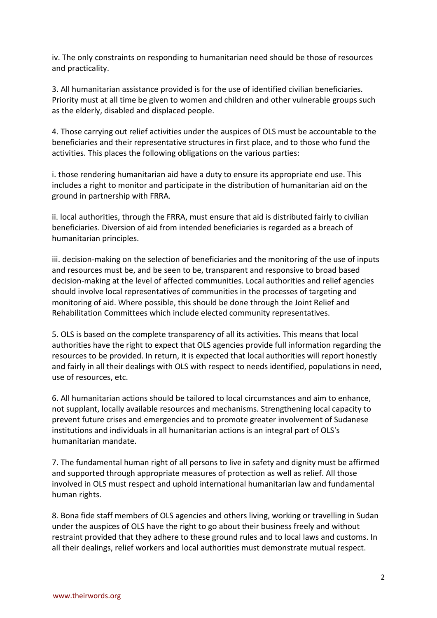iv. The only constraints on responding to humanitarian need should be those of resources and practicality.

3. All humanitarian assistance provided is for the use of identified civilian beneficiaries. Priority must at all time be given to women and children and other vulnerable groups such as the elderly, disabled and displaced people.

4. Those carrying out relief activities under the auspices of OLS must be accountable to the beneficiaries and their representative structures in first place, and to those who fund the activities. This places the following obligations on the various parties:

i. those rendering humanitarian aid have a duty to ensure its appropriate end use. This includes a right to monitor and participate in the distribution of humanitarian aid on the ground in partnership with FRRA.

ii. local authorities, through the FRRA, must ensure that aid is distributed fairly to civilian beneficiaries. Diversion of aid from intended beneficiaries is regarded as a breach of humanitarian principles.

iii. decision-making on the selection of beneficiaries and the monitoring of the use of inputs and resources must be, and be seen to be, transparent and responsive to broad based decision-making at the level of affected communities. Local authorities and relief agencies should involve local representatives of communities in the processes of targeting and monitoring of aid. Where possible, this should be done through the Joint Relief and Rehabilitation Committees which include elected community representatives.

5. OLS is based on the complete transparency of all its activities. This means that local authorities have the right to expect that OLS agencies provide full information regarding the resources to be provided. In return, it is expected that local authorities will report honestly and fairly in all their dealings with OLS with respect to needs identified, populations in need, use of resources, etc.

6. All humanitarian actions should be tailored to local circumstances and aim to enhance, not supplant, locally available resources and mechanisms. Strengthening local capacity to prevent future crises and emergencies and to promote greater involvement of Sudanese institutions and individuals in all humanitarian actions is an integral part of OLS's humanitarian mandate.

7. The fundamental human right of all persons to live in safety and dignity must be affirmed and supported through appropriate measures of protection as well as relief. All those involved in OLS must respect and uphold international humanitarian law and fundamental human rights.

8. Bona fide staff members of OLS agencies and others living, working or travelling in Sudan under the auspices of OLS have the right to go about their business freely and without restraint provided that they adhere to these ground rules and to local laws and customs. In all their dealings, relief workers and local authorities must demonstrate mutual respect.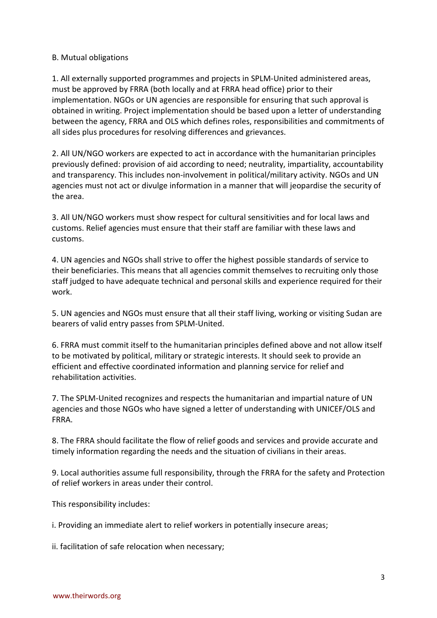## B. Mutual obligations

1. All externally supported programmes and projects in SPLM-United administered areas, must be approved by FRRA (both locally and at FRRA head office) prior to their implementation. NGOs or UN agencies are responsible for ensuring that such approval is obtained in writing. Project implementation should be based upon a letter of understanding between the agency, FRRA and OLS which defines roles, responsibilities and commitments of all sides plus procedures for resolving differences and grievances.

2. All UN/NGO workers are expected to act in accordance with the humanitarian principles previously defined: provision of aid according to need; neutrality, impartiality, accountability and transparency. This includes non-involvement in political/military activity. NGOs and UN agencies must not act or divulge information in a manner that will jeopardise the security of the area.

3. All UN/NGO workers must show respect for cultural sensitivities and for local laws and customs. Relief agencies must ensure that their staff are familiar with these laws and customs.

4. UN agencies and NGOs shall strive to offer the highest possible standards of service to their beneficiaries. This means that all agencies commit themselves to recruiting only those staff judged to have adequate technical and personal skills and experience required for their work.

5. UN agencies and NGOs must ensure that all their staff living, working or visiting Sudan are bearers of valid entry passes from SPLM-United.

6. FRRA must commit itself to the humanitarian principles defined above and not allow itself to be motivated by political, military or strategic interests. It should seek to provide an efficient and effective coordinated information and planning service for relief and rehabilitation activities.

7. The SPLM-United recognizes and respects the humanitarian and impartial nature of UN agencies and those NGOs who have signed a letter of understanding with UNICEF/OLS and FRRA.

8. The FRRA should facilitate the flow of relief goods and services and provide accurate and timely information regarding the needs and the situation of civilians in their areas.

9. Local authorities assume full responsibility, through the FRRA for the safety and Protection of relief workers in areas under their control.

This responsibility includes:

i. Providing an immediate alert to relief workers in potentially insecure areas;

ii. facilitation of safe relocation when necessary;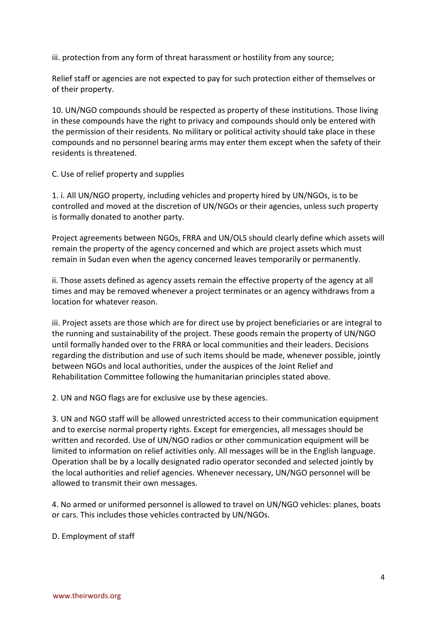iii. protection from any form of threat harassment or hostility from any source;

Relief staff or agencies are not expected to pay for such protection either of themselves or of their property.

10. UN/NGO compounds should be respected as property of these institutions. Those living in these compounds have the right to privacy and compounds should only be entered with the permission of their residents. No military or political activity should take place in these compounds and no personnel bearing arms may enter them except when the safety of their residents is threatened.

C. Use of relief property and supplies

1. i. All UN/NGO property, including vehicles and property hired by UN/NGOs, is to be controlled and moved at the discretion of UN/NGOs or their agencies, unless such property is formally donated to another party.

Project agreements between NGOs, FRRA and UN/OLS should clearly define which assets will remain the property of the agency concerned and which are project assets which must remain in Sudan even when the agency concerned leaves temporarily or permanently.

ii. Those assets defined as agency assets remain the effective property of the agency at all times and may be removed whenever a project terminates or an agency withdraws from a location for whatever reason.

iii. Project assets are those which are for direct use by project beneficiaries or are integral to the running and sustainability of the project. These goods remain the property of UN/NGO until formally handed over to the FRRA or local communities and their leaders. Decisions regarding the distribution and use of such items should be made, whenever possible, jointly between NGOs and local authorities, under the auspices of the Joint Relief and Rehabilitation Committee following the humanitarian principles stated above.

2. UN and NGO flags are for exclusive use by these agencies.

3. UN and NGO staff will be allowed unrestricted access to their communication equipment and to exercise normal property rights. Except for emergencies, all messages should be written and recorded. Use of UN/NGO radios or other communication equipment will be limited to information on relief activities only. All messages will be in the English language. Operation shall be by a locally designated radio operator seconded and selected jointly by the local authorities and relief agencies. Whenever necessary, UN/NGO personnel will be allowed to transmit their own messages.

4. No armed or uniformed personnel is allowed to travel on UN/NGO vehicles: planes, boats or cars. This includes those vehicles contracted by UN/NGOs.

D. Employment of staff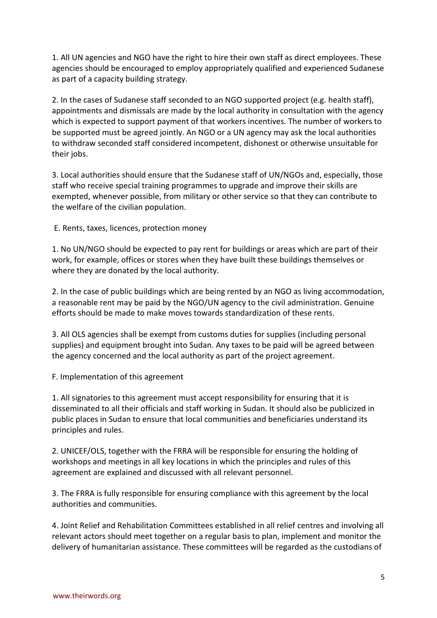1. All UN agencies and NGO have the right to hire their own staff as direct employees. These agencies should be encouraged to employ appropriately qualified and experienced Sudanese as part of a capacity building strategy.

2. In the cases of Sudanese staff seconded to an NGO supported project (e.g. health staff), appointments and dismissals are made by the local authority in consultation with the agency which is expected to support payment of that workers incentives. The number of workers to be supported must be agreed jointly. An NGO or a UN agency may ask the local authorities to withdraw seconded staff considered incompetent, dishonest or otherwise unsuitable for their jobs.

3. Local authorities should ensure that the Sudanese staff of UN/NGOs and, especially, those staff who receive special training programmes to upgrade and improve their skills are exempted, whenever possible, from military or other service so that they can contribute to the welfare of the civilian population.

E. Rents, taxes, licences, protection money

1. No UN/NGO should be expected to pay rent for buildings or areas which are part of their work, for example, offices or stores when they have built these buildings themselves or where they are donated by the local authority.

2. In the case of public buildings which are being rented by an NGO as living accommodation, a reasonable rent may be paid by the NGO/UN agency to the civil administration. Genuine efforts should be made to make moves towards standardization of these rents.

3. All OLS agencies shall be exempt from customs duties for supplies (including personal supplies) and equipment brought into Sudan. Any taxes to be paid will be agreed between the agency concerned and the local authority as part of the project agreement.

F. Implementation of this agreement

1. All signatories to this agreement must accept responsibility for ensuring that it is disseminated to all their officials and staff working in Sudan. It should also be publicized in public places in Sudan to ensure that local communities and beneficiaries understand its principles and rules.

2. UNICEF/OLS, together with the FRRA will be responsible for ensuring the holding of workshops and meetings in all key locations in which the principles and rules of this agreement are explained and discussed with all relevant personnel.

3. The FRRA is fully responsible for ensuring compliance with this agreement by the local authorities and communities.

4. Joint Relief and Rehabilitation Committees established in all relief centres and involving all relevant actors should meet together on a regular basis to plan, implement and monitor the delivery of humanitarian assistance. These committees will be regarded as the custodians of